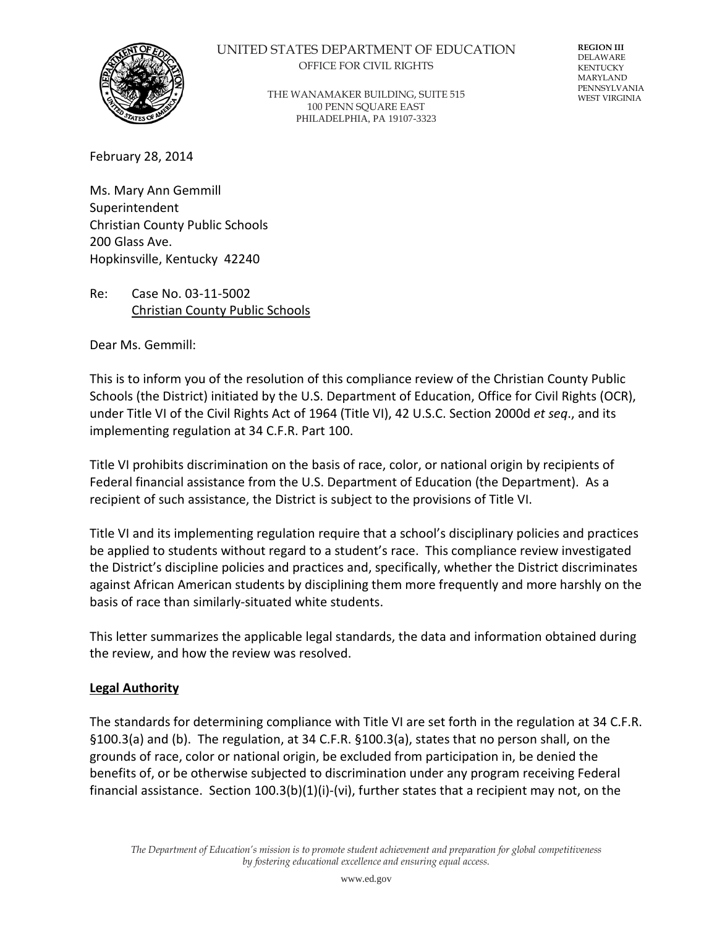

### UNITED STATES DEPARTMENT OF EDUCATION OFFICE FOR CIVIL RIGHTS

THE WANAMAKER BUILDING, SUITE 515 100 PENN SQUARE EAST PHILADELPHIA, PA 19107-3323

**REGION III** DELAWARE KENTUCKY MARYLAND PENNSYLVANIA WEST VIRGINIA

February 28, 2014

Ms. Mary Ann Gemmill Superintendent Christian County Public Schools 200 Glass Ave. Hopkinsville, Kentucky 42240

Re: Case No. 03-11-5002 Christian County Public Schools

Dear Ms. Gemmill:

This is to inform you of the resolution of this compliance review of the Christian County Public Schools (the District) initiated by the U.S. Department of Education, Office for Civil Rights (OCR), under Title VI of the Civil Rights Act of 1964 (Title VI), 42 U.S.C. Section 2000d *et seq*., and its implementing regulation at 34 C.F.R. Part 100.

Title VI prohibits discrimination on the basis of race, color, or national origin by recipients of Federal financial assistance from the U.S. Department of Education (the Department). As a recipient of such assistance, the District is subject to the provisions of Title VI.

Title VI and its implementing regulation require that a school's disciplinary policies and practices be applied to students without regard to a student's race. This compliance review investigated the District's discipline policies and practices and, specifically, whether the District discriminates against African American students by disciplining them more frequently and more harshly on the basis of race than similarly-situated white students.

This letter summarizes the applicable legal standards, the data and information obtained during the review, and how the review was resolved.

#### **Legal Authority**

The standards for determining compliance with Title VI are set forth in the regulation at 34 C.F.R. §100.3(a) and (b). The regulation, at 34 C.F.R. §100.3(a), states that no person shall, on the grounds of race, color or national origin, be excluded from participation in, be denied the benefits of, or be otherwise subjected to discrimination under any program receiving Federal financial assistance. Section 100.3(b)(1)(i)-(vi), further states that a recipient may not, on the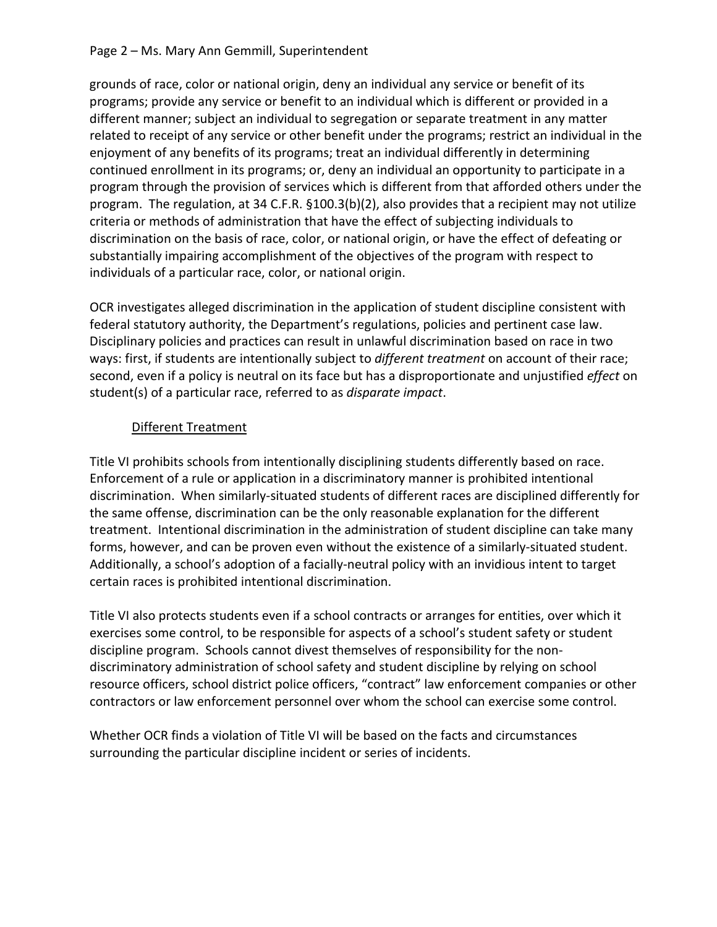### Page 2 – Ms. Mary Ann Gemmill, Superintendent

grounds of race, color or national origin, deny an individual any service or benefit of its programs; provide any service or benefit to an individual which is different or provided in a different manner; subject an individual to segregation or separate treatment in any matter related to receipt of any service or other benefit under the programs; restrict an individual in the enjoyment of any benefits of its programs; treat an individual differently in determining continued enrollment in its programs; or, deny an individual an opportunity to participate in a program through the provision of services which is different from that afforded others under the program. The regulation, at 34 C.F.R. §100.3(b)(2), also provides that a recipient may not utilize criteria or methods of administration that have the effect of subjecting individuals to discrimination on the basis of race, color, or national origin, or have the effect of defeating or substantially impairing accomplishment of the objectives of the program with respect to individuals of a particular race, color, or national origin.

OCR investigates alleged discrimination in the application of student discipline consistent with federal statutory authority, the Department's regulations, policies and pertinent case law. Disciplinary policies and practices can result in unlawful discrimination based on race in two ways: first, if students are intentionally subject to *different treatment* on account of their race; second, even if a policy is neutral on its face but has a disproportionate and unjustified *effect* on student(s) of a particular race, referred to as *disparate impact*.

# Different Treatment

Title VI prohibits schools from intentionally disciplining students differently based on race. Enforcement of a rule or application in a discriminatory manner is prohibited intentional discrimination. When similarly-situated students of different races are disciplined differently for the same offense, discrimination can be the only reasonable explanation for the different treatment. Intentional discrimination in the administration of student discipline can take many forms, however, and can be proven even without the existence of a similarly-situated student. Additionally, a school's adoption of a facially-neutral policy with an invidious intent to target certain races is prohibited intentional discrimination.

Title VI also protects students even if a school contracts or arranges for entities, over which it exercises some control, to be responsible for aspects of a school's student safety or student discipline program. Schools cannot divest themselves of responsibility for the nondiscriminatory administration of school safety and student discipline by relying on school resource officers, school district police officers, "contract" law enforcement companies or other contractors or law enforcement personnel over whom the school can exercise some control.

Whether OCR finds a violation of Title VI will be based on the facts and circumstances surrounding the particular discipline incident or series of incidents.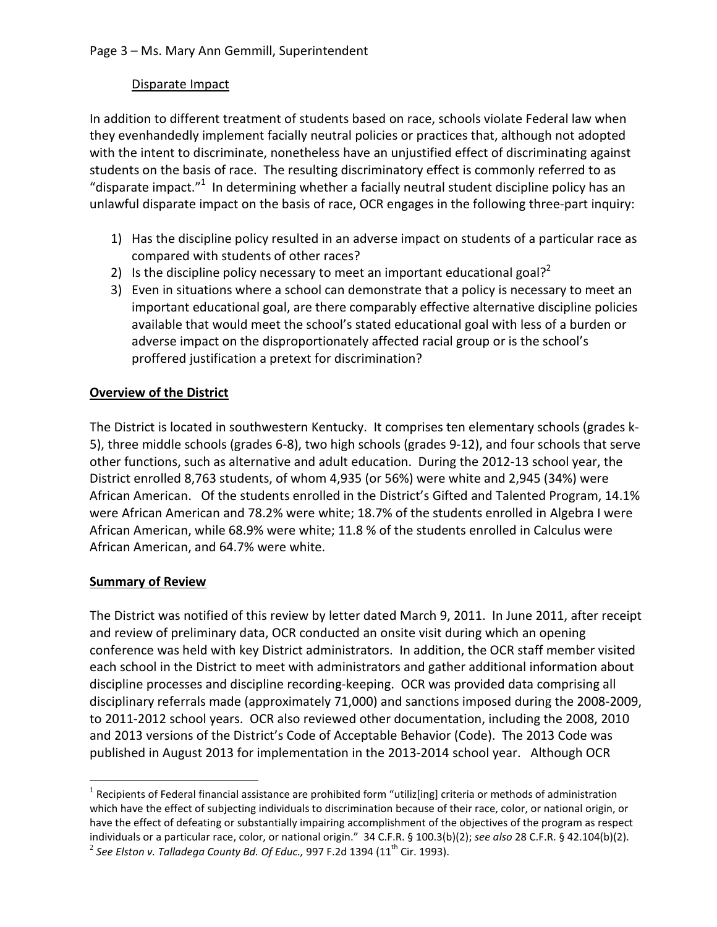## Disparate Impact

In addition to different treatment of students based on race, schools violate Federal law when they evenhandedly implement facially neutral policies or practices that, although not adopted with the intent to discriminate, nonetheless have an unjustified effect of discriminating against students on the basis of race. The resulting discriminatory effect is commonly referred to as "disparate impact." $1$  In determining whether a facially neutral student discipline policy has an unlawful disparate impact on the basis of race, OCR engages in the following three-part inquiry:

- 1) Has the discipline policy resulted in an adverse impact on students of a particular race as compared with students of other races?
- 2) Is the discipline policy necessary to meet an important educational goal?<sup>2</sup>
- 3) Even in situations where a school can demonstrate that a policy is necessary to meet an important educational goal, are there comparably effective alternative discipline policies available that would meet the school's stated educational goal with less of a burden or adverse impact on the disproportionately affected racial group or is the school's proffered justification a pretext for discrimination?

# **Overview of the District**

The District is located in southwestern Kentucky. It comprises ten elementary schools (grades k-5), three middle schools (grades 6-8), two high schools (grades 9-12), and four schools that serve other functions, such as alternative and adult education. During the 2012-13 school year, the District enrolled 8,763 students, of whom 4,935 (or 56%) were white and 2,945 (34%) were African American. Of the students enrolled in the District's Gifted and Talented Program, 14.1% were African American and 78.2% were white; 18.7% of the students enrolled in Algebra I were African American, while 68.9% were white; 11.8 % of the students enrolled in Calculus were African American, and 64.7% were white.

## **Summary of Review**

The District was notified of this review by letter dated March 9, 2011. In June 2011, after receipt and review of preliminary data, OCR conducted an onsite visit during which an opening conference was held with key District administrators. In addition, the OCR staff member visited each school in the District to meet with administrators and gather additional information about discipline processes and discipline recording-keeping. OCR was provided data comprising all disciplinary referrals made (approximately 71,000) and sanctions imposed during the 2008-2009, to 2011-2012 school years. OCR also reviewed other documentation, including the 2008, 2010 and 2013 versions of the District's Code of Acceptable Behavior (Code). The 2013 Code was published in August 2013 for implementation in the 2013-2014 school year. Although OCR

 $1$  Recipients of Federal financial assistance are prohibited form "utiliz[ing] criteria or methods of administration which have the effect of subjecting individuals to discrimination because of their race, color, or national origin, or have the effect of defeating or substantially impairing accomplishment of the objectives of the program as respect individuals or a particular race, color, or national origin." 34 C.F.R. § 100.3(b)(2); *see also* 28 C.F.R. § 42.104(b)(2).  $^2$  See Elston v. Talladega County Bd. Of Educ., 997 F.2d 1394 (11<sup>th</sup> Cir. 1993).  $\overline{a}$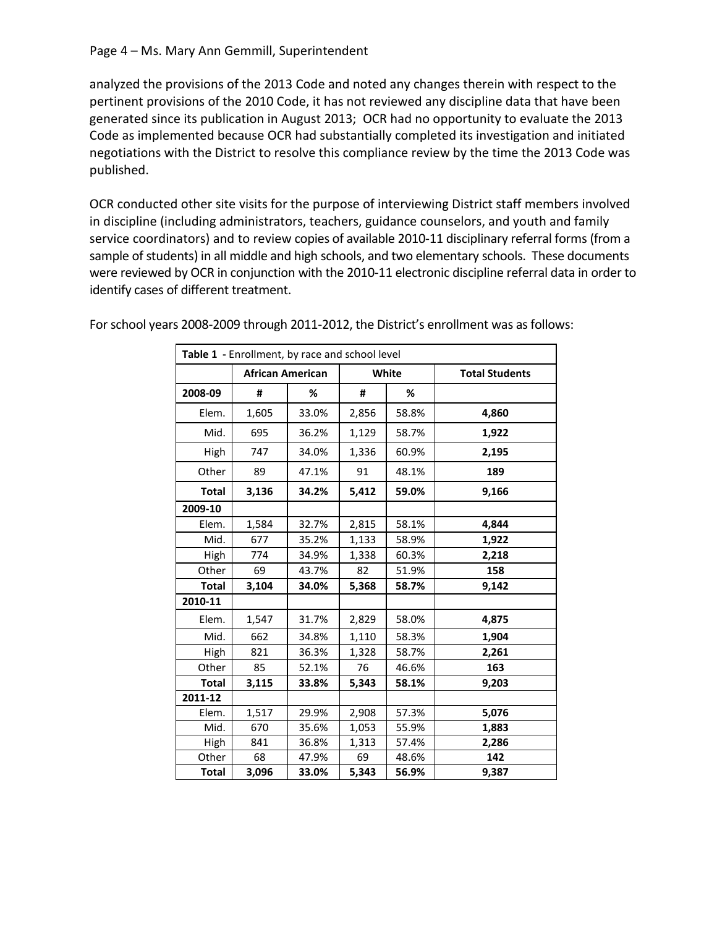analyzed the provisions of the 2013 Code and noted any changes therein with respect to the pertinent provisions of the 2010 Code, it has not reviewed any discipline data that have been generated since its publication in August 2013; OCR had no opportunity to evaluate the 2013 Code as implemented because OCR had substantially completed its investigation and initiated negotiations with the District to resolve this compliance review by the time the 2013 Code was published.

OCR conducted other site visits for the purpose of interviewing District staff members involved in discipline (including administrators, teachers, guidance counselors, and youth and family service coordinators) and to review copies of available 2010-11 disciplinary referral forms (from a sample of students) in all middle and high schools, and two elementary schools. These documents were reviewed by OCR in conjunction with the 2010-11 electronic discipline referral data in order to identify cases of different treatment.

| Table 1 - Enrollment, by race and school level |                         |       |       |       |                       |  |
|------------------------------------------------|-------------------------|-------|-------|-------|-----------------------|--|
|                                                | <b>African American</b> |       | White |       | <b>Total Students</b> |  |
| 2008-09                                        | #                       | %     | #     | %     |                       |  |
| Elem.                                          | 1,605                   | 33.0% | 2,856 | 58.8% | 4,860                 |  |
| Mid.                                           | 695                     | 36.2% | 1,129 | 58.7% | 1,922                 |  |
| High                                           | 747                     | 34.0% | 1,336 | 60.9% | 2,195                 |  |
| Other                                          | 89                      | 47.1% | 91    | 48.1% | 189                   |  |
| <b>Total</b>                                   | 3,136                   | 34.2% | 5,412 | 59.0% | 9,166                 |  |
| 2009-10                                        |                         |       |       |       |                       |  |
| Elem.                                          | 1,584                   | 32.7% | 2,815 | 58.1% | 4,844                 |  |
| Mid.                                           | 677                     | 35.2% | 1,133 | 58.9% | 1,922                 |  |
| High                                           | 774                     | 34.9% | 1,338 | 60.3% | 2,218                 |  |
| Other                                          | 69                      | 43.7% | 82    | 51.9% | 158                   |  |
| <b>Total</b>                                   | 3,104                   | 34.0% | 5,368 | 58.7% | 9,142                 |  |
| 2010-11                                        |                         |       |       |       |                       |  |
| Elem.                                          | 1,547                   | 31.7% | 2,829 | 58.0% | 4,875                 |  |
| Mid.                                           | 662                     | 34.8% | 1,110 | 58.3% | 1,904                 |  |
| High                                           | 821                     | 36.3% | 1,328 | 58.7% | 2,261                 |  |
| Other                                          | 85                      | 52.1% | 76    | 46.6% | 163                   |  |
| <b>Total</b>                                   | 3,115                   | 33.8% | 5,343 | 58.1% | 9,203                 |  |
| 2011-12                                        |                         |       |       |       |                       |  |
| Elem.                                          | 1,517                   | 29.9% | 2,908 | 57.3% | 5,076                 |  |
| Mid.                                           | 670                     | 35.6% | 1,053 | 55.9% | 1,883                 |  |
| High                                           | 841                     | 36.8% | 1,313 | 57.4% | 2,286                 |  |
| Other                                          | 68                      | 47.9% | 69    | 48.6% | 142                   |  |
| <b>Total</b>                                   | 3,096                   | 33.0% | 5,343 | 56.9% | 9,387                 |  |

For school years 2008-2009 through 2011-2012, the District's enrollment was as follows: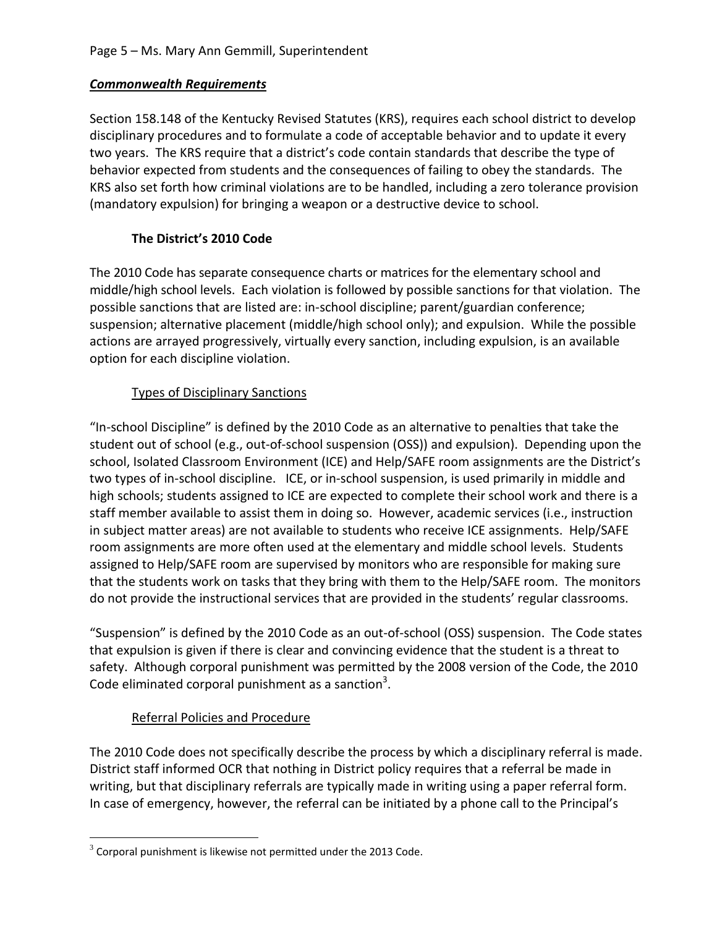## *Commonwealth Requirements*

Section 158.148 of the Kentucky Revised Statutes (KRS), requires each school district to develop disciplinary procedures and to formulate a code of acceptable behavior and to update it every two years. The KRS require that a district's code contain standards that describe the type of behavior expected from students and the consequences of failing to obey the standards. The KRS also set forth how criminal violations are to be handled, including a zero tolerance provision (mandatory expulsion) for bringing a weapon or a destructive device to school.

# **The District's 2010 Code**

The 2010 Code has separate consequence charts or matrices for the elementary school and middle/high school levels. Each violation is followed by possible sanctions for that violation. The possible sanctions that are listed are: in-school discipline; parent/guardian conference; suspension; alternative placement (middle/high school only); and expulsion. While the possible actions are arrayed progressively, virtually every sanction, including expulsion, is an available option for each discipline violation.

# Types of Disciplinary Sanctions

"In-school Discipline" is defined by the 2010 Code as an alternative to penalties that take the student out of school (e.g., out-of-school suspension (OSS)) and expulsion). Depending upon the school, Isolated Classroom Environment (ICE) and Help/SAFE room assignments are the District's two types of in-school discipline. ICE, or in-school suspension, is used primarily in middle and high schools; students assigned to ICE are expected to complete their school work and there is a staff member available to assist them in doing so. However, academic services (i.e., instruction in subject matter areas) are not available to students who receive ICE assignments. Help/SAFE room assignments are more often used at the elementary and middle school levels. Students assigned to Help/SAFE room are supervised by monitors who are responsible for making sure that the students work on tasks that they bring with them to the Help/SAFE room. The monitors do not provide the instructional services that are provided in the students' regular classrooms.

"Suspension" is defined by the 2010 Code as an out-of-school (OSS) suspension. The Code states that expulsion is given if there is clear and convincing evidence that the student is a threat to safety. Although corporal punishment was permitted by the 2008 version of the Code, the 2010 Code eliminated corporal punishment as a sanction<sup>3</sup>.

# Referral Policies and Procedure

The 2010 Code does not specifically describe the process by which a disciplinary referral is made. District staff informed OCR that nothing in District policy requires that a referral be made in writing, but that disciplinary referrals are typically made in writing using a paper referral form. In case of emergency, however, the referral can be initiated by a phone call to the Principal's

 $3$  Corporal punishment is likewise not permitted under the 2013 Code.  $\overline{a}$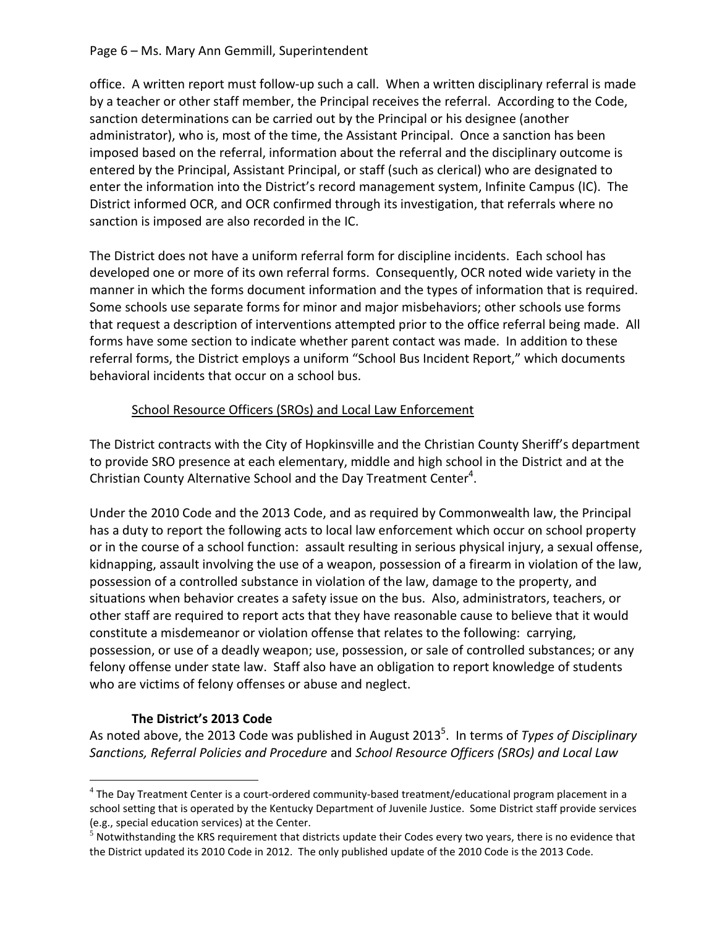### Page 6 – Ms. Mary Ann Gemmill, Superintendent

office. A written report must follow-up such a call. When a written disciplinary referral is made by a teacher or other staff member, the Principal receives the referral. According to the Code, sanction determinations can be carried out by the Principal or his designee (another administrator), who is, most of the time, the Assistant Principal. Once a sanction has been imposed based on the referral, information about the referral and the disciplinary outcome is entered by the Principal, Assistant Principal, or staff (such as clerical) who are designated to enter the information into the District's record management system, Infinite Campus (IC). The District informed OCR, and OCR confirmed through its investigation, that referrals where no sanction is imposed are also recorded in the IC.

The District does not have a uniform referral form for discipline incidents. Each school has developed one or more of its own referral forms. Consequently, OCR noted wide variety in the manner in which the forms document information and the types of information that is required. Some schools use separate forms for minor and major misbehaviors; other schools use forms that request a description of interventions attempted prior to the office referral being made. All forms have some section to indicate whether parent contact was made. In addition to these referral forms, the District employs a uniform "School Bus Incident Report," which documents behavioral incidents that occur on a school bus.

## School Resource Officers (SROs) and Local Law Enforcement

The District contracts with the City of Hopkinsville and the Christian County Sheriff's department to provide SRO presence at each elementary, middle and high school in the District and at the Christian County Alternative School and the Day Treatment Center<sup>4</sup>.

Under the 2010 Code and the 2013 Code, and as required by Commonwealth law, the Principal has a duty to report the following acts to local law enforcement which occur on school property or in the course of a school function: assault resulting in serious physical injury, a sexual offense, kidnapping, assault involving the use of a weapon, possession of a firearm in violation of the law, possession of a controlled substance in violation of the law, damage to the property, and situations when behavior creates a safety issue on the bus. Also, administrators, teachers, or other staff are required to report acts that they have reasonable cause to believe that it would constitute a misdemeanor or violation offense that relates to the following: carrying, possession, or use of a deadly weapon; use, possession, or sale of controlled substances; or any felony offense under state law. Staff also have an obligation to report knowledge of students who are victims of felony offenses or abuse and neglect.

## **The District's 2013 Code**

 $\overline{a}$ 

As noted above, the 2013 Code was published in August 2013<sup>5</sup>. In terms of *Types of Disciplinary Sanctions, Referral Policies and Procedure* and *School Resource Officers (SROs) and Local Law* 

<sup>4</sup> The Day Treatment Center is a court-ordered community-based treatment/educational program placement in a school setting that is operated by the Kentucky Department of Juvenile Justice. Some District staff provide services (e.g., special education services) at the Center.

 $<sup>5</sup>$  Notwithstanding the KRS requirement that districts update their Codes every two years, there is no evidence that</sup> the District updated its 2010 Code in 2012. The only published update of the 2010 Code is the 2013 Code.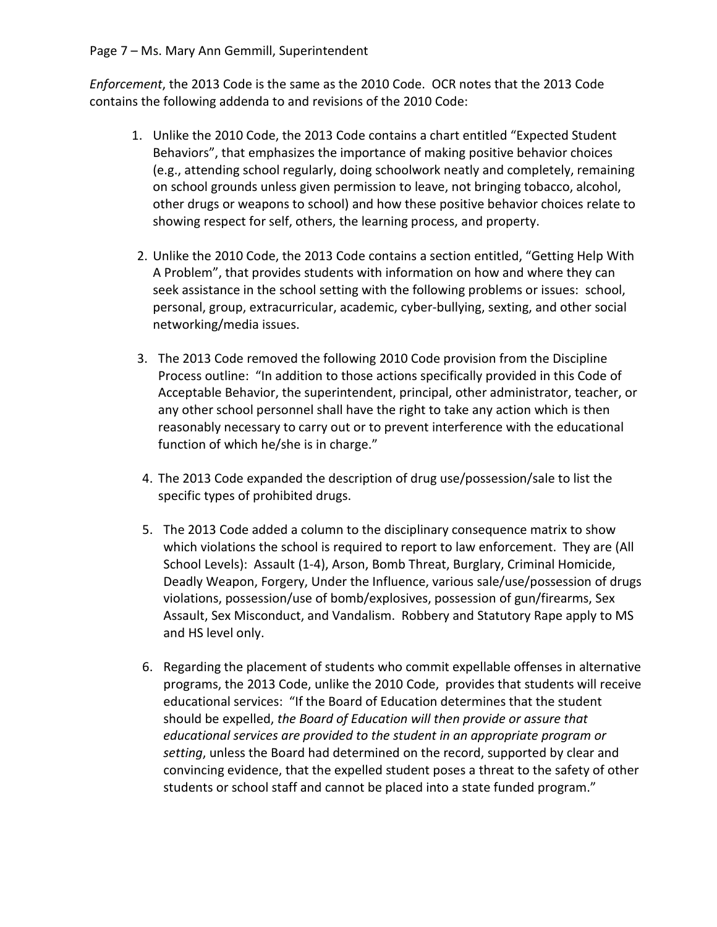*Enforcement*, the 2013 Code is the same as the 2010 Code. OCR notes that the 2013 Code contains the following addenda to and revisions of the 2010 Code:

- 1. Unlike the 2010 Code, the 2013 Code contains a chart entitled "Expected Student Behaviors", that emphasizes the importance of making positive behavior choices (e.g., attending school regularly, doing schoolwork neatly and completely, remaining on school grounds unless given permission to leave, not bringing tobacco, alcohol, other drugs or weapons to school) and how these positive behavior choices relate to showing respect for self, others, the learning process, and property.
- 2. Unlike the 2010 Code, the 2013 Code contains a section entitled, "Getting Help With A Problem", that provides students with information on how and where they can seek assistance in the school setting with the following problems or issues: school, personal, group, extracurricular, academic, cyber-bullying, sexting, and other social networking/media issues.
- 3. The 2013 Code removed the following 2010 Code provision from the Discipline Process outline: "In addition to those actions specifically provided in this Code of Acceptable Behavior, the superintendent, principal, other administrator, teacher, or any other school personnel shall have the right to take any action which is then reasonably necessary to carry out or to prevent interference with the educational function of which he/she is in charge."
- 4. The 2013 Code expanded the description of drug use/possession/sale to list the specific types of prohibited drugs.
- 5. The 2013 Code added a column to the disciplinary consequence matrix to show which violations the school is required to report to law enforcement. They are (All School Levels): Assault (1-4), Arson, Bomb Threat, Burglary, Criminal Homicide, Deadly Weapon, Forgery, Under the Influence, various sale/use/possession of drugs violations, possession/use of bomb/explosives, possession of gun/firearms, Sex Assault, Sex Misconduct, and Vandalism. Robbery and Statutory Rape apply to MS and HS level only.
- 6. Regarding the placement of students who commit expellable offenses in alternative programs, the 2013 Code, unlike the 2010 Code, provides that students will receive educational services: "If the Board of Education determines that the student should be expelled, *the Board of Education will then provide or assure that educational services are provided to the student in an appropriate program or setting*, unless the Board had determined on the record, supported by clear and convincing evidence, that the expelled student poses a threat to the safety of other students or school staff and cannot be placed into a state funded program."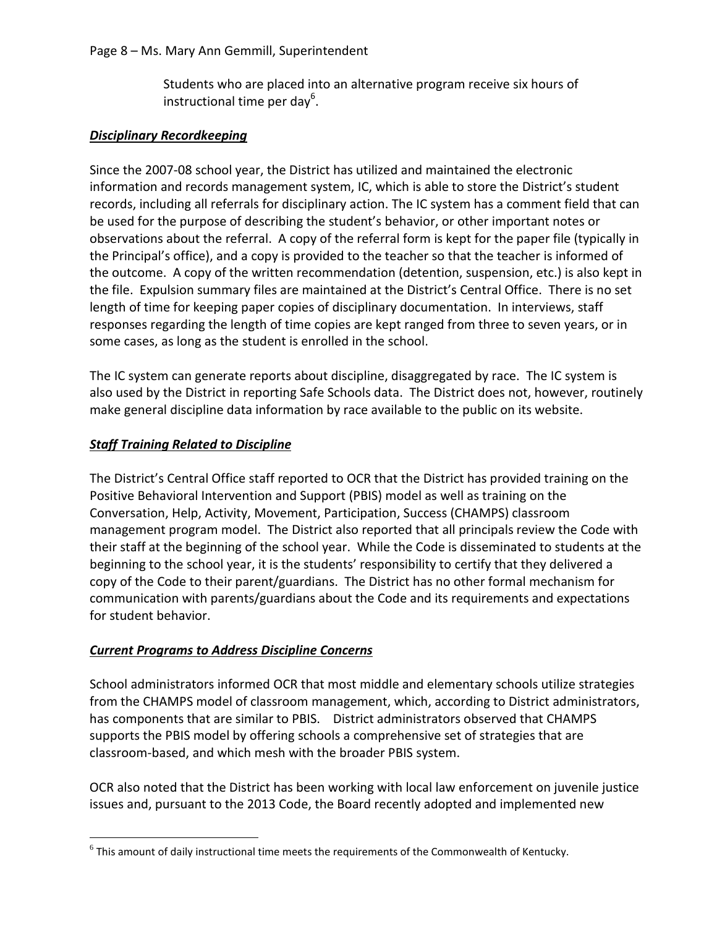Students who are placed into an alternative program receive six hours of instructional time per day<sup>6</sup>.

# *Disciplinary Recordkeeping*

Since the 2007-08 school year, the District has utilized and maintained the electronic information and records management system, IC, which is able to store the District's student records, including all referrals for disciplinary action. The IC system has a comment field that can be used for the purpose of describing the student's behavior, or other important notes or observations about the referral. A copy of the referral form is kept for the paper file (typically in the Principal's office), and a copy is provided to the teacher so that the teacher is informed of the outcome. A copy of the written recommendation (detention, suspension, etc.) is also kept in the file. Expulsion summary files are maintained at the District's Central Office. There is no set length of time for keeping paper copies of disciplinary documentation. In interviews, staff responses regarding the length of time copies are kept ranged from three to seven years, or in some cases, as long as the student is enrolled in the school.

The IC system can generate reports about discipline, disaggregated by race. The IC system is also used by the District in reporting Safe Schools data. The District does not, however, routinely make general discipline data information by race available to the public on its website.

# *Staff Training Related to Discipline*

The District's Central Office staff reported to OCR that the District has provided training on the Positive Behavioral Intervention and Support (PBIS) model as well as training on the Conversation, Help, Activity, Movement, Participation, Success (CHAMPS) classroom management program model. The District also reported that all principals review the Code with their staff at the beginning of the school year. While the Code is disseminated to students at the beginning to the school year, it is the students' responsibility to certify that they delivered a copy of the Code to their parent/guardians. The District has no other formal mechanism for communication with parents/guardians about the Code and its requirements and expectations for student behavior.

# *Current Programs to Address Discipline Concerns*

School administrators informed OCR that most middle and elementary schools utilize strategies from the CHAMPS model of classroom management, which, according to District administrators, has components that are similar to PBIS. District administrators observed that CHAMPS supports the PBIS model by offering schools a comprehensive set of strategies that are classroom-based, and which mesh with the broader PBIS system.

OCR also noted that the District has been working with local law enforcement on juvenile justice issues and, pursuant to the 2013 Code, the Board recently adopted and implemented new

 $6$  This amount of daily instructional time meets the requirements of the Commonwealth of Kentucky.  $\overline{a}$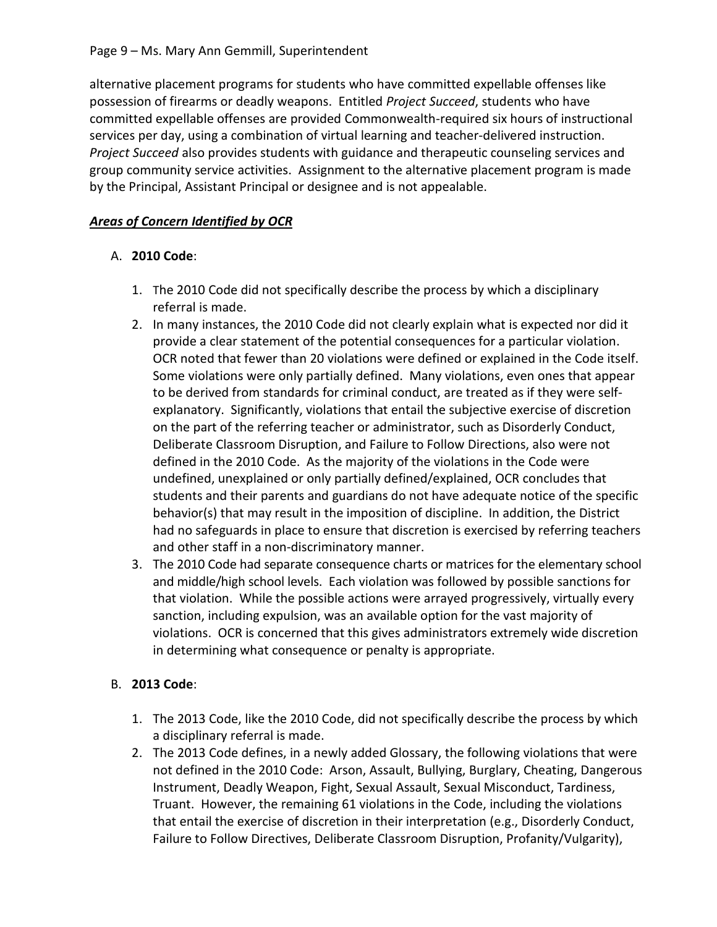alternative placement programs for students who have committed expellable offenses like possession of firearms or deadly weapons. Entitled *Project Succeed*, students who have committed expellable offenses are provided Commonwealth-required six hours of instructional services per day, using a combination of virtual learning and teacher-delivered instruction. *Project Succeed* also provides students with guidance and therapeutic counseling services and group community service activities. Assignment to the alternative placement program is made by the Principal, Assistant Principal or designee and is not appealable.

# *Areas of Concern Identified by OCR*

# A. **2010 Code**:

- 1. The 2010 Code did not specifically describe the process by which a disciplinary referral is made.
- 2. In many instances, the 2010 Code did not clearly explain what is expected nor did it provide a clear statement of the potential consequences for a particular violation. OCR noted that fewer than 20 violations were defined or explained in the Code itself. Some violations were only partially defined. Many violations, even ones that appear to be derived from standards for criminal conduct, are treated as if they were selfexplanatory. Significantly, violations that entail the subjective exercise of discretion on the part of the referring teacher or administrator, such as Disorderly Conduct, Deliberate Classroom Disruption, and Failure to Follow Directions, also were not defined in the 2010 Code. As the majority of the violations in the Code were undefined, unexplained or only partially defined/explained, OCR concludes that students and their parents and guardians do not have adequate notice of the specific behavior(s) that may result in the imposition of discipline. In addition, the District had no safeguards in place to ensure that discretion is exercised by referring teachers and other staff in a non-discriminatory manner.
- 3. The 2010 Code had separate consequence charts or matrices for the elementary school and middle/high school levels. Each violation was followed by possible sanctions for that violation. While the possible actions were arrayed progressively, virtually every sanction, including expulsion, was an available option for the vast majority of violations. OCR is concerned that this gives administrators extremely wide discretion in determining what consequence or penalty is appropriate.

# B. **2013 Code**:

- 1. The 2013 Code, like the 2010 Code, did not specifically describe the process by which a disciplinary referral is made.
- 2. The 2013 Code defines, in a newly added Glossary, the following violations that were not defined in the 2010 Code: Arson, Assault, Bullying, Burglary, Cheating, Dangerous Instrument, Deadly Weapon, Fight, Sexual Assault, Sexual Misconduct, Tardiness, Truant. However, the remaining 61 violations in the Code, including the violations that entail the exercise of discretion in their interpretation (e.g., Disorderly Conduct, Failure to Follow Directives, Deliberate Classroom Disruption, Profanity/Vulgarity),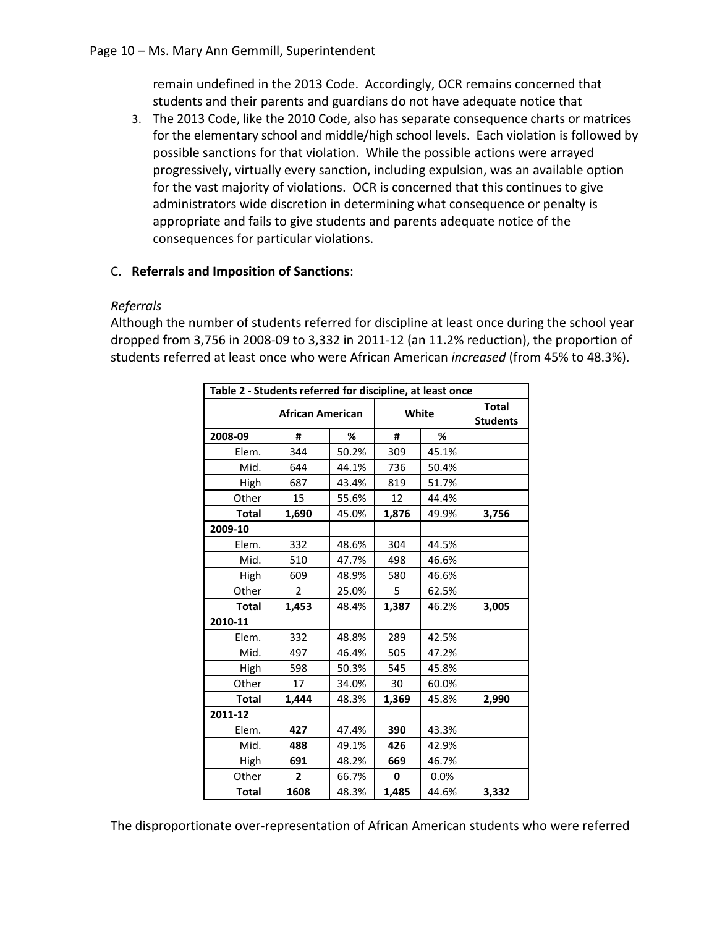remain undefined in the 2013 Code. Accordingly, OCR remains concerned that students and their parents and guardians do not have adequate notice that

3. The 2013 Code, like the 2010 Code, also has separate consequence charts or matrices for the elementary school and middle/high school levels. Each violation is followed by possible sanctions for that violation. While the possible actions were arrayed progressively, virtually every sanction, including expulsion, was an available option for the vast majority of violations. OCR is concerned that this continues to give administrators wide discretion in determining what consequence or penalty is appropriate and fails to give students and parents adequate notice of the consequences for particular violations.

# C. **Referrals and Imposition of Sanctions**:

# *Referrals*

Although the number of students referred for discipline at least once during the school year dropped from 3,756 in 2008-09 to 3,332 in 2011-12 (an 11.2% reduction), the proportion of students referred at least once who were African American *increased* (from 45% to 48.3%).

| Table 2 - Students referred for discipline, at least once |                         |       |       |       |                                 |
|-----------------------------------------------------------|-------------------------|-------|-------|-------|---------------------------------|
|                                                           | <b>African American</b> |       | White |       | <b>Total</b><br><b>Students</b> |
| 2008-09                                                   | #                       | %     | #     | %     |                                 |
| Elem.                                                     | 344                     | 50.2% | 309   | 45.1% |                                 |
| Mid.                                                      | 644                     | 44.1% | 736   | 50.4% |                                 |
| High                                                      | 687                     | 43.4% | 819   | 51.7% |                                 |
| Other                                                     | 15                      | 55.6% | 12    | 44.4% |                                 |
| <b>Total</b>                                              | 1,690                   | 45.0% | 1,876 | 49.9% | 3,756                           |
| 2009-10                                                   |                         |       |       |       |                                 |
| Elem.                                                     | 332                     | 48.6% | 304   | 44.5% |                                 |
| Mid.                                                      | 510                     | 47.7% | 498   | 46.6% |                                 |
| High                                                      | 609                     | 48.9% | 580   | 46.6% |                                 |
| Other                                                     | $\overline{2}$          | 25.0% | 5     | 62.5% |                                 |
| <b>Total</b>                                              | 1,453                   | 48.4% | 1,387 | 46.2% | 3,005                           |
| 2010-11                                                   |                         |       |       |       |                                 |
| Elem.                                                     | 332                     | 48.8% | 289   | 42.5% |                                 |
| Mid.                                                      | 497                     | 46.4% | 505   | 47.2% |                                 |
| High                                                      | 598                     | 50.3% | 545   | 45.8% |                                 |
| Other                                                     | 17                      | 34.0% | 30    | 60.0% |                                 |
| <b>Total</b>                                              | 1,444                   | 48.3% | 1,369 | 45.8% | 2,990                           |
| 2011-12                                                   |                         |       |       |       |                                 |
| Elem.                                                     | 427                     | 47.4% | 390   | 43.3% |                                 |
| Mid.                                                      | 488                     | 49.1% | 426   | 42.9% |                                 |
| High                                                      | 691                     | 48.2% | 669   | 46.7% |                                 |
| Other                                                     | $\overline{\mathbf{2}}$ | 66.7% | 0     | 0.0%  |                                 |
| <b>Total</b>                                              | 1608                    | 48.3% | 1,485 | 44.6% | 3,332                           |

The disproportionate over-representation of African American students who were referred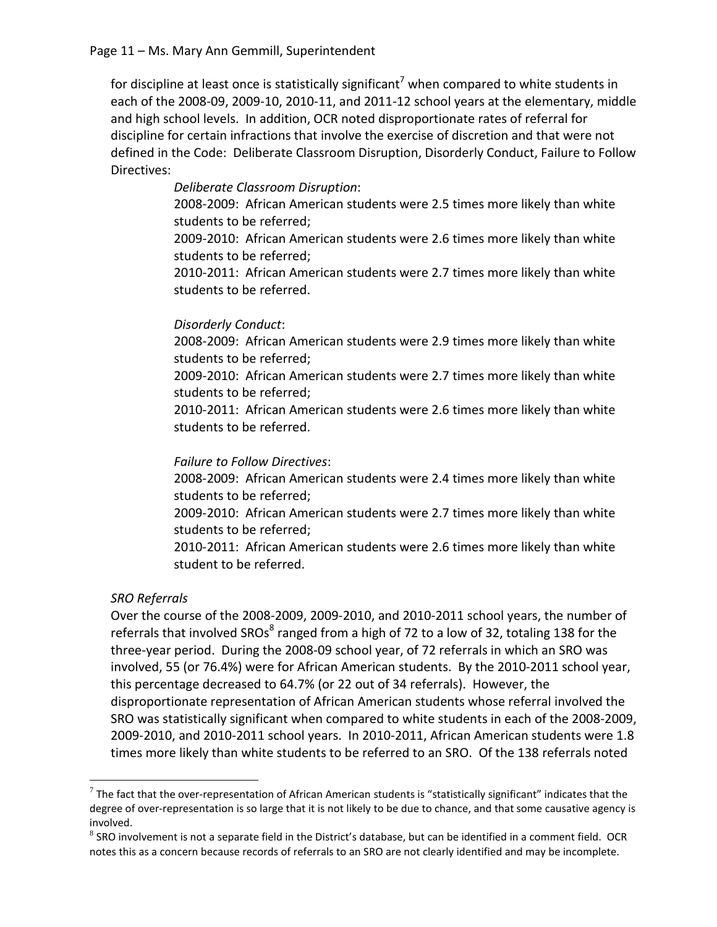for discipline at least once is statistically significant<sup>7</sup> when compared to white students in each of the 2008-09, 2009-10, 2010-11, and 2011-12 school years at the elementary, middle and high school levels. In addition, OCR noted disproportionate rates of referral for discipline for certain infractions that involve the exercise of discretion and that were not defined in the Code: Deliberate Classroom Disruption, Disorderly Conduct, Failure to Follow Directives:

> *Deliberate Classroom Disruption*: 2008-2009: African American students were 2.5 times more likely than white students to be referred; 2009-2010: African American students were 2.6 times more likely than white students to be referred; 2010-2011: African American students were 2.7 times more likely than white students to be referred.

# *Disorderly Conduct*:

2008-2009: African American students were 2.9 times more likely than white students to be referred;

2009-2010: African American students were 2.7 times more likely than white students to be referred;

2010-2011: African American students were 2.6 times more likely than white students to be referred.

## *Failure to Follow Directives*:

2008-2009: African American students were 2.4 times more likely than white students to be referred;

2009-2010: African American students were 2.7 times more likely than white students to be referred;

2010-2011: African American students were 2.6 times more likely than white student to be referred.

# *SRO Referrals*

 $\overline{a}$ 

Over the course of the 2008-2009, 2009-2010, and 2010-2011 school years, the number of referrals that involved SROs<sup>8</sup> ranged from a high of 72 to a low of 32, totaling 138 for the three-year period. During the 2008-09 school year, of 72 referrals in which an SRO was involved, 55 (or 76.4%) were for African American students. By the 2010-2011 school year, this percentage decreased to 64.7% (or 22 out of 34 referrals). However, the disproportionate representation of African American students whose referral involved the SRO was statistically significant when compared to white students in each of the 2008-2009, 2009-2010, and 2010-2011 school years. In 2010-2011, African American students were 1.8 times more likely than white students to be referred to an SRO. Of the 138 referrals noted

 $^7$  The fact that the over-representation of African American students is "statistically significant" indicates that the degree of over-representation is so large that it is not likely to be due to chance, and that some causative agency is involved.

<sup>&</sup>lt;sup>8</sup> SRO involvement is not a separate field in the District's database, but can be identified in a comment field. OCR notes this as a concern because records of referrals to an SRO are not clearly identified and may be incomplete.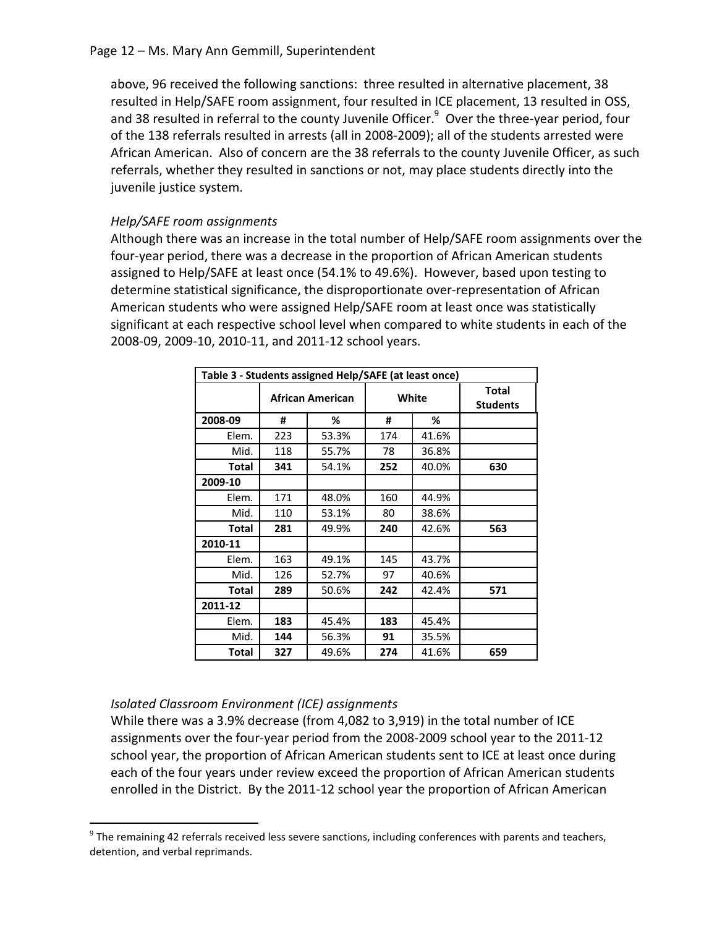### Page 12 – Ms. Mary Ann Gemmill, Superintendent

above, 96 received the following sanctions: three resulted in alternative placement, 38 resulted in Help/SAFE room assignment, four resulted in ICE placement, 13 resulted in OSS, and 38 resulted in referral to the county Juvenile Officer.<sup>9</sup> Over the three-year period, four of the 138 referrals resulted in arrests (all in 2008-2009); all of the students arrested were African American. Also of concern are the 38 referrals to the county Juvenile Officer, as such referrals, whether they resulted in sanctions or not, may place students directly into the juvenile justice system.

## *Help/SAFE room assignments*

Although there was an increase in the total number of Help/SAFE room assignments over the four-year period, there was a decrease in the proportion of African American students assigned to Help/SAFE at least once (54.1% to 49.6%). However, based upon testing to determine statistical significance, the disproportionate over-representation of African American students who were assigned Help/SAFE room at least once was statistically significant at each respective school level when compared to white students in each of the 2008-09, 2009-10, 2010-11, and 2011-12 school years.

| Table 3 - Students assigned Help/SAFE (at least once) |                         |       |        |       |                          |
|-------------------------------------------------------|-------------------------|-------|--------|-------|--------------------------|
|                                                       | <b>African American</b> |       | White  |       | Total<br><b>Students</b> |
| 2008-09                                               | #                       | %     | #<br>% |       |                          |
| Elem.                                                 | 223                     | 53.3% | 174    | 41.6% |                          |
| Mid.                                                  | 118                     | 55.7% | 78     | 36.8% |                          |
| <b>Total</b>                                          | 341                     | 54.1% | 252    | 40.0% | 630                      |
| 2009-10                                               |                         |       |        |       |                          |
| Elem.                                                 | 171                     | 48.0% | 160    | 44.9% |                          |
| Mid.                                                  | 110                     | 53.1% | 80     | 38.6% |                          |
| <b>Total</b>                                          | 281                     | 49.9% | 240    | 42.6% | 563                      |
| 2010-11                                               |                         |       |        |       |                          |
| Elem.                                                 | 163                     | 49.1% | 145    | 43.7% |                          |
| Mid.                                                  | 126                     | 52.7% | 97     | 40.6% |                          |
| <b>Total</b>                                          | 289                     | 50.6% | 242    | 42.4% | 571                      |
| 2011-12                                               |                         |       |        |       |                          |
| Elem.                                                 | 183                     | 45.4% | 183    | 45.4% |                          |
| Mid.                                                  | 144                     | 56.3% | 91     | 35.5% |                          |
| <b>Total</b>                                          | 327                     | 49.6% | 274    | 41.6% | 659                      |

## *Isolated Classroom Environment (ICE) assignments*

 $\overline{a}$ 

While there was a 3.9% decrease (from 4,082 to 3,919) in the total number of ICE assignments over the four-year period from the 2008-2009 school year to the 2011-12 school year, the proportion of African American students sent to ICE at least once during each of the four years under review exceed the proportion of African American students enrolled in the District. By the 2011-12 school year the proportion of African American

 $9$  The remaining 42 referrals received less severe sanctions, including conferences with parents and teachers, detention, and verbal reprimands.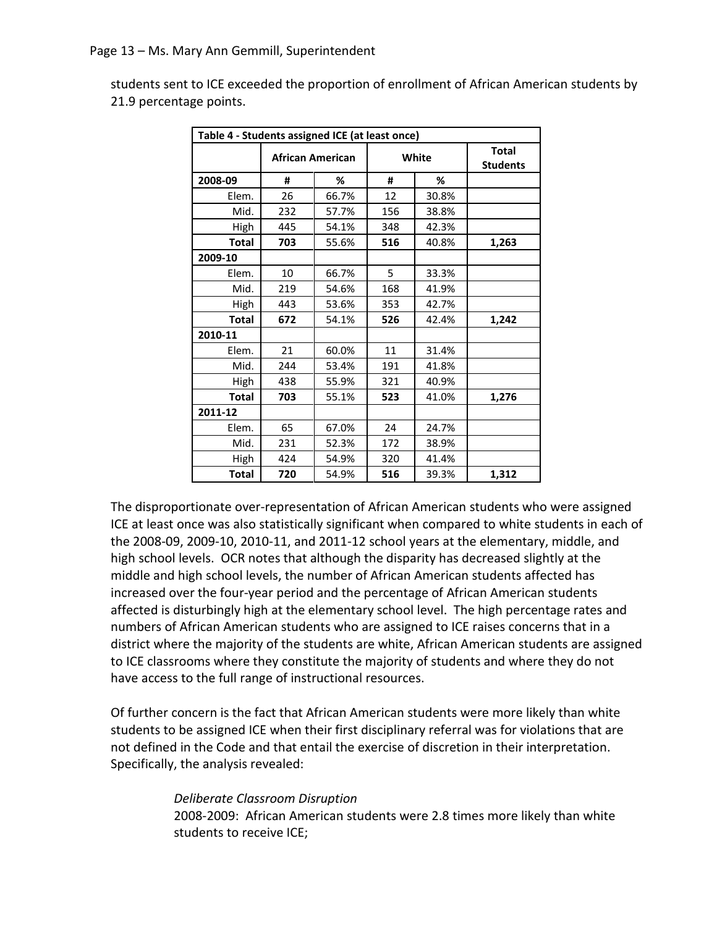students sent to ICE exceeded the proportion of enrollment of African American students by 21.9 percentage points.

| Table 4 - Students assigned ICE (at least once) |                  |       |       |       |                                 |
|-------------------------------------------------|------------------|-------|-------|-------|---------------------------------|
|                                                 | African American |       | White |       | <b>Total</b><br><b>Students</b> |
| 2008-09                                         | #                | ℅     | #     | %     |                                 |
| Elem.                                           | 26               | 66.7% | 12    | 30.8% |                                 |
| Mid.                                            | 232              | 57.7% | 156   | 38.8% |                                 |
| High                                            | 445              | 54.1% | 348   | 42.3% |                                 |
| <b>Total</b>                                    | 703              | 55.6% | 516   | 40.8% | 1,263                           |
| 2009-10                                         |                  |       |       |       |                                 |
| Elem.                                           | 10               | 66.7% | 5     | 33.3% |                                 |
| Mid.                                            | 219              | 54.6% | 168   | 41.9% |                                 |
| High                                            | 443              | 53.6% | 353   | 42.7% |                                 |
| <b>Total</b>                                    | 672              | 54.1% | 526   | 42.4% | 1,242                           |
| 2010-11                                         |                  |       |       |       |                                 |
| Elem.                                           | 21               | 60.0% | 11    | 31.4% |                                 |
| Mid.                                            | 244              | 53.4% | 191   | 41.8% |                                 |
| High                                            | 438              | 55.9% | 321   | 40.9% |                                 |
| <b>Total</b>                                    | 703              | 55.1% | 523   | 41.0% | 1,276                           |
| 2011-12                                         |                  |       |       |       |                                 |
| Elem.                                           | 65               | 67.0% | 24    | 24.7% |                                 |
| Mid.                                            | 231              | 52.3% | 172   | 38.9% |                                 |
| High                                            | 424              | 54.9% | 320   | 41.4% |                                 |
| <b>Total</b>                                    | 720              | 54.9% | 516   | 39.3% | 1,312                           |

The disproportionate over-representation of African American students who were assigned ICE at least once was also statistically significant when compared to white students in each of the 2008-09, 2009-10, 2010-11, and 2011-12 school years at the elementary, middle, and high school levels. OCR notes that although the disparity has decreased slightly at the middle and high school levels, the number of African American students affected has increased over the four-year period and the percentage of African American students affected is disturbingly high at the elementary school level. The high percentage rates and numbers of African American students who are assigned to ICE raises concerns that in a district where the majority of the students are white, African American students are assigned to ICE classrooms where they constitute the majority of students and where they do not have access to the full range of instructional resources.

Of further concern is the fact that African American students were more likely than white students to be assigned ICE when their first disciplinary referral was for violations that are not defined in the Code and that entail the exercise of discretion in their interpretation. Specifically, the analysis revealed:

#### *Deliberate Classroom Disruption*

2008-2009: African American students were 2.8 times more likely than white students to receive ICE;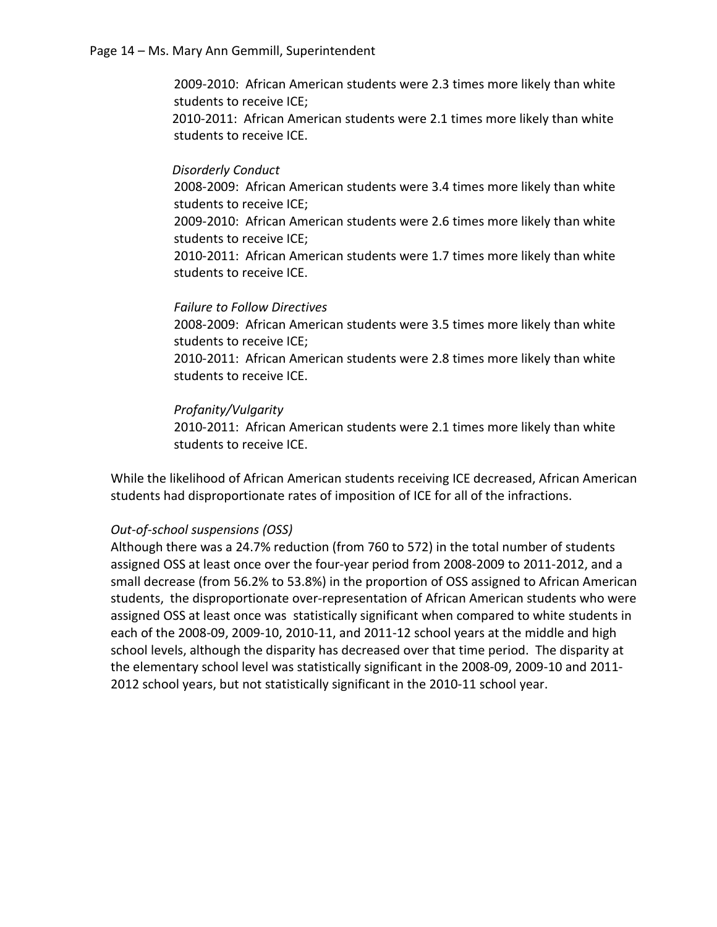2009-2010: African American students were 2.3 times more likely than white students to receive ICE;

2010-2011: African American students were 2.1 times more likely than white students to receive ICE.

### *Disorderly Conduct*

2008-2009: African American students were 3.4 times more likely than white students to receive ICE; 2009-2010: African American students were 2.6 times more likely than white students to receive ICE;

2010-2011: African American students were 1.7 times more likely than white students to receive ICE.

#### *Failure to Follow Directives*

2008-2009: African American students were 3.5 times more likely than white students to receive ICE; 2010-2011: African American students were 2.8 times more likely than white students to receive ICE.

#### *Profanity/Vulgarity*

2010-2011: African American students were 2.1 times more likely than white students to receive ICE.

While the likelihood of African American students receiving ICE decreased, African American students had disproportionate rates of imposition of ICE for all of the infractions.

#### *Out-of-school suspensions (OSS)*

Although there was a 24.7% reduction (from 760 to 572) in the total number of students assigned OSS at least once over the four-year period from 2008-2009 to 2011-2012, and a small decrease (from 56.2% to 53.8%) in the proportion of OSS assigned to African American students, the disproportionate over-representation of African American students who were assigned OSS at least once was statistically significant when compared to white students in each of the 2008-09, 2009-10, 2010-11, and 2011-12 school years at the middle and high school levels, although the disparity has decreased over that time period. The disparity at the elementary school level was statistically significant in the 2008-09, 2009-10 and 2011- 2012 school years, but not statistically significant in the 2010-11 school year.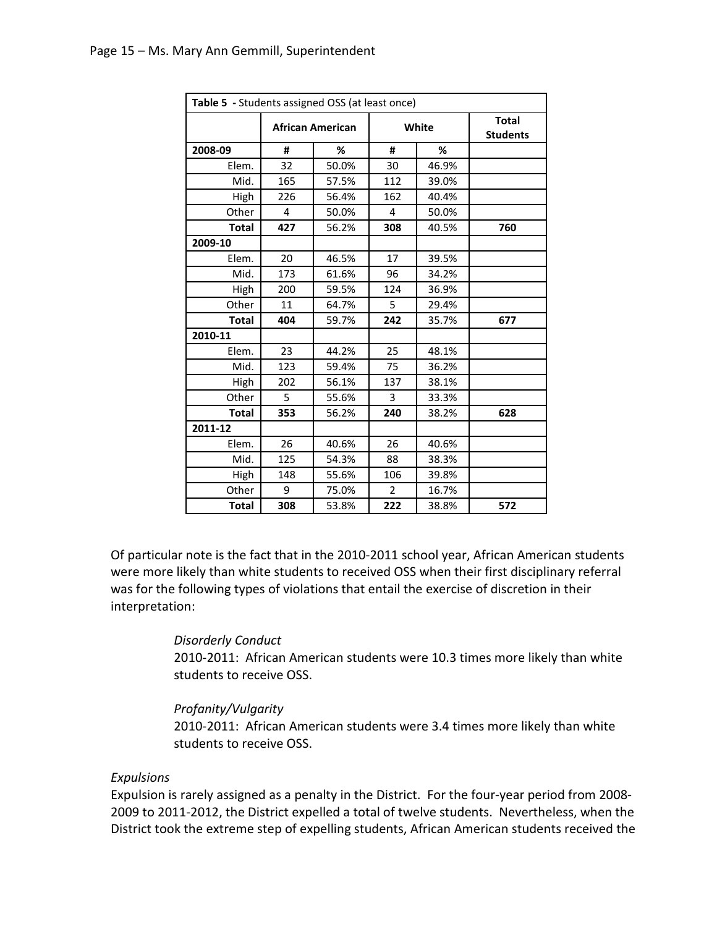|              | Table 5 - Students assigned OSS (at least once) |       |                |       |                                 |  |
|--------------|-------------------------------------------------|-------|----------------|-------|---------------------------------|--|
|              | <b>African American</b>                         |       | White          |       | <b>Total</b><br><b>Students</b> |  |
| 2008-09      | #                                               | %     | #              | %     |                                 |  |
| Elem.        | 32                                              | 50.0% | 30             | 46.9% |                                 |  |
| Mid.         | 165                                             | 57.5% | 112            | 39.0% |                                 |  |
| High         | 226                                             | 56.4% | 162            | 40.4% |                                 |  |
| Other        | 4                                               | 50.0% | 4              | 50.0% |                                 |  |
| <b>Total</b> | 427                                             | 56.2% | 308            | 40.5% | 760                             |  |
| 2009-10      |                                                 |       |                |       |                                 |  |
| Elem.        | 20                                              | 46.5% | 17             | 39.5% |                                 |  |
| Mid.         | 173                                             | 61.6% | 96             | 34.2% |                                 |  |
| High         | 200                                             | 59.5% | 124            | 36.9% |                                 |  |
| Other        | 11                                              | 64.7% | 5              | 29.4% |                                 |  |
| <b>Total</b> | 404                                             | 59.7% | 242            | 35.7% | 677                             |  |
| 2010-11      |                                                 |       |                |       |                                 |  |
| Elem.        | 23                                              | 44.2% | 25             | 48.1% |                                 |  |
| Mid.         | 123                                             | 59.4% | 75             | 36.2% |                                 |  |
| High         | 202                                             | 56.1% | 137            | 38.1% |                                 |  |
| Other        | 5                                               | 55.6% | 3              | 33.3% |                                 |  |
| <b>Total</b> | 353                                             | 56.2% | 240            | 38.2% | 628                             |  |
| 2011-12      |                                                 |       |                |       |                                 |  |
| Elem.        | 26                                              | 40.6% | 26             | 40.6% |                                 |  |
| Mid.         | 125                                             | 54.3% | 88             | 38.3% |                                 |  |
| High         | 148                                             | 55.6% | 106            | 39.8% |                                 |  |
| Other        | 9                                               | 75.0% | $\overline{2}$ | 16.7% |                                 |  |
| <b>Total</b> | 308                                             | 53.8% | 222            | 38.8% | 572                             |  |

Of particular note is the fact that in the 2010-2011 school year, African American students were more likely than white students to received OSS when their first disciplinary referral was for the following types of violations that entail the exercise of discretion in their interpretation:

#### *Disorderly Conduct*

2010-2011: African American students were 10.3 times more likely than white students to receive OSS.

### *Profanity/Vulgarity*

2010-2011: African American students were 3.4 times more likely than white students to receive OSS.

#### *Expulsions*

Expulsion is rarely assigned as a penalty in the District. For the four-year period from 2008- 2009 to 2011-2012, the District expelled a total of twelve students. Nevertheless, when the District took the extreme step of expelling students, African American students received the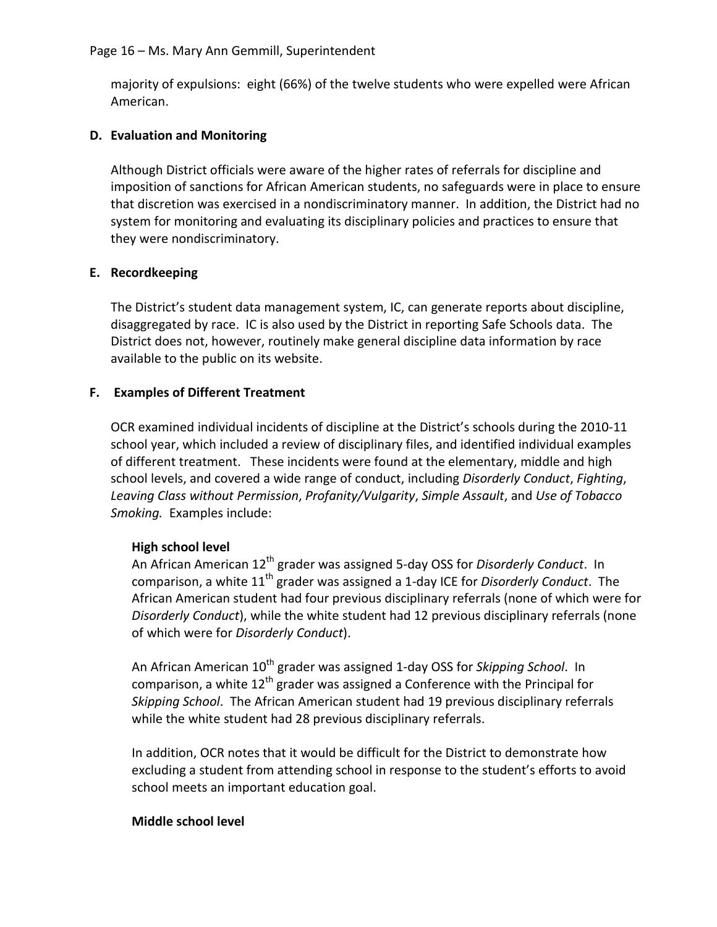majority of expulsions: eight (66%) of the twelve students who were expelled were African American.

# **D. Evaluation and Monitoring**

Although District officials were aware of the higher rates of referrals for discipline and imposition of sanctions for African American students, no safeguards were in place to ensure that discretion was exercised in a nondiscriminatory manner. In addition, the District had no system for monitoring and evaluating its disciplinary policies and practices to ensure that they were nondiscriminatory.

# **E. Recordkeeping**

The District's student data management system, IC, can generate reports about discipline, disaggregated by race. IC is also used by the District in reporting Safe Schools data. The District does not, however, routinely make general discipline data information by race available to the public on its website.

# **F. Examples of Different Treatment**

OCR examined individual incidents of discipline at the District's schools during the 2010-11 school year, which included a review of disciplinary files, and identified individual examples of different treatment. These incidents were found at the elementary, middle and high school levels, and covered a wide range of conduct, including *Disorderly Conduct*, *Fighting*, *Leaving Class without Permission*, *Profanity/Vulgarity*, *Simple Assault*, and *Use of Tobacco Smoking.* Examples include:

## **High school level**

An African American 12th grader was assigned 5-day OSS for *Disorderly Conduct*. In comparison, a white 11th grader was assigned a 1-day ICE for *Disorderly Conduct*. The African American student had four previous disciplinary referrals (none of which were for *Disorderly Conduct*), while the white student had 12 previous disciplinary referrals (none of which were for *Disorderly Conduct*).

An African American 10<sup>th</sup> grader was assigned 1-day OSS for *Skipping School*. In comparison, a white  $12<sup>th</sup>$  grader was assigned a Conference with the Principal for *Skipping School*. The African American student had 19 previous disciplinary referrals while the white student had 28 previous disciplinary referrals.

In addition, OCR notes that it would be difficult for the District to demonstrate how excluding a student from attending school in response to the student's efforts to avoid school meets an important education goal.

## **Middle school level**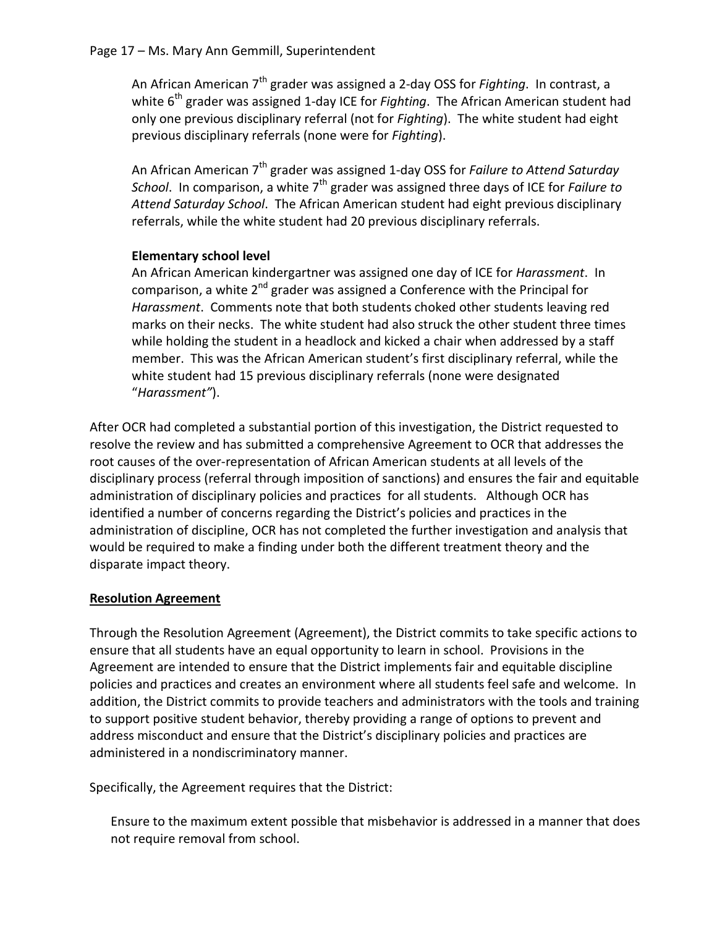### Page 17 – Ms. Mary Ann Gemmill, Superintendent

An African American 7th grader was assigned a 2-day OSS for *Fighting*. In contrast, a white 6<sup>th</sup> grader was assigned 1-day ICE for *Fighting*. The African American student had only one previous disciplinary referral (not for *Fighting*). The white student had eight previous disciplinary referrals (none were for *Fighting*).

An African American 7th grader was assigned 1-day OSS for *Failure to Attend Saturday School.* In comparison, a white 7<sup>th</sup> grader was assigned three days of ICE for *Failure to Attend Saturday School*. The African American student had eight previous disciplinary referrals, while the white student had 20 previous disciplinary referrals.

## **Elementary school level**

An African American kindergartner was assigned one day of ICE for *Harassment*. In comparison, a white  $2^{nd}$  grader was assigned a Conference with the Principal for *Harassment*. Comments note that both students choked other students leaving red marks on their necks. The white student had also struck the other student three times while holding the student in a headlock and kicked a chair when addressed by a staff member. This was the African American student's first disciplinary referral, while the white student had 15 previous disciplinary referrals (none were designated "*Harassment"*).

After OCR had completed a substantial portion of this investigation, the District requested to resolve the review and has submitted a comprehensive Agreement to OCR that addresses the root causes of the over-representation of African American students at all levels of the disciplinary process (referral through imposition of sanctions) and ensures the fair and equitable administration of disciplinary policies and practices for all students. Although OCR has identified a number of concerns regarding the District's policies and practices in the administration of discipline, OCR has not completed the further investigation and analysis that would be required to make a finding under both the different treatment theory and the disparate impact theory.

## **Resolution Agreement**

Through the Resolution Agreement (Agreement), the District commits to take specific actions to ensure that all students have an equal opportunity to learn in school. Provisions in the Agreement are intended to ensure that the District implements fair and equitable discipline policies and practices and creates an environment where all students feel safe and welcome. In addition, the District commits to provide teachers and administrators with the tools and training to support positive student behavior, thereby providing a range of options to prevent and address misconduct and ensure that the District's disciplinary policies and practices are administered in a nondiscriminatory manner.

Specifically, the Agreement requires that the District:

Ensure to the maximum extent possible that misbehavior is addressed in a manner that does not require removal from school.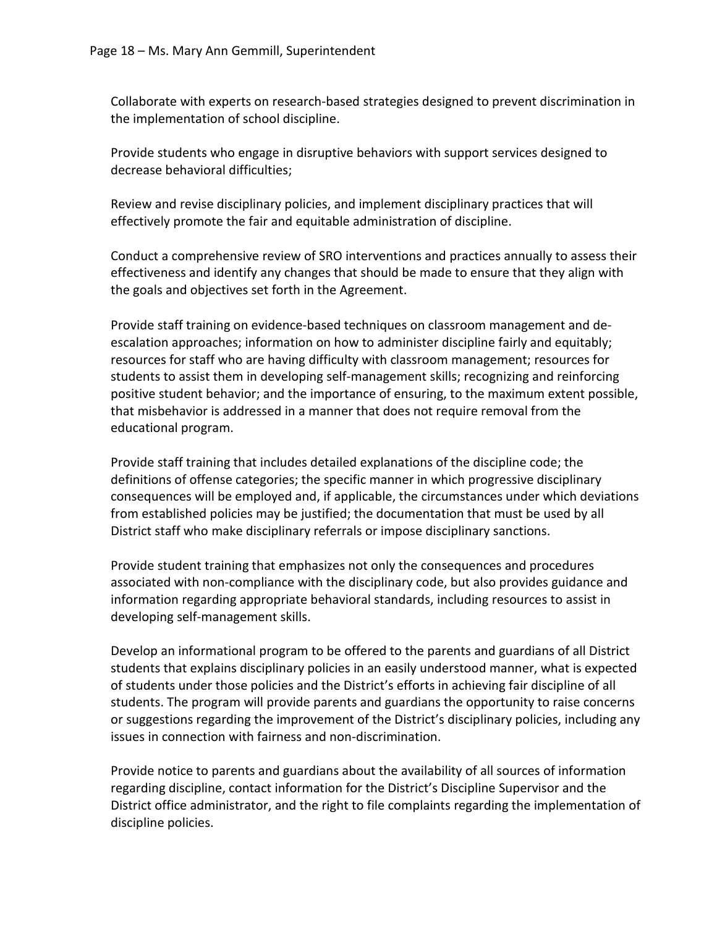Collaborate with experts on research-based strategies designed to prevent discrimination in the implementation of school discipline.

Provide students who engage in disruptive behaviors with support services designed to decrease behavioral difficulties;

Review and revise disciplinary policies, and implement disciplinary practices that will effectively promote the fair and equitable administration of discipline.

Conduct a comprehensive review of SRO interventions and practices annually to assess their effectiveness and identify any changes that should be made to ensure that they align with the goals and objectives set forth in the Agreement.

Provide staff training on evidence-based techniques on classroom management and deescalation approaches; information on how to administer discipline fairly and equitably; resources for staff who are having difficulty with classroom management; resources for students to assist them in developing self-management skills; recognizing and reinforcing positive student behavior; and the importance of ensuring, to the maximum extent possible, that misbehavior is addressed in a manner that does not require removal from the educational program.

Provide staff training that includes detailed explanations of the discipline code; the definitions of offense categories; the specific manner in which progressive disciplinary consequences will be employed and, if applicable, the circumstances under which deviations from established policies may be justified; the documentation that must be used by all District staff who make disciplinary referrals or impose disciplinary sanctions.

Provide student training that emphasizes not only the consequences and procedures associated with non-compliance with the disciplinary code, but also provides guidance and information regarding appropriate behavioral standards, including resources to assist in developing self-management skills.

Develop an informational program to be offered to the parents and guardians of all District students that explains disciplinary policies in an easily understood manner, what is expected of students under those policies and the District's efforts in achieving fair discipline of all students. The program will provide parents and guardians the opportunity to raise concerns or suggestions regarding the improvement of the District's disciplinary policies, including any issues in connection with fairness and non-discrimination.

Provide notice to parents and guardians about the availability of all sources of information regarding discipline, contact information for the District's Discipline Supervisor and the District office administrator, and the right to file complaints regarding the implementation of discipline policies.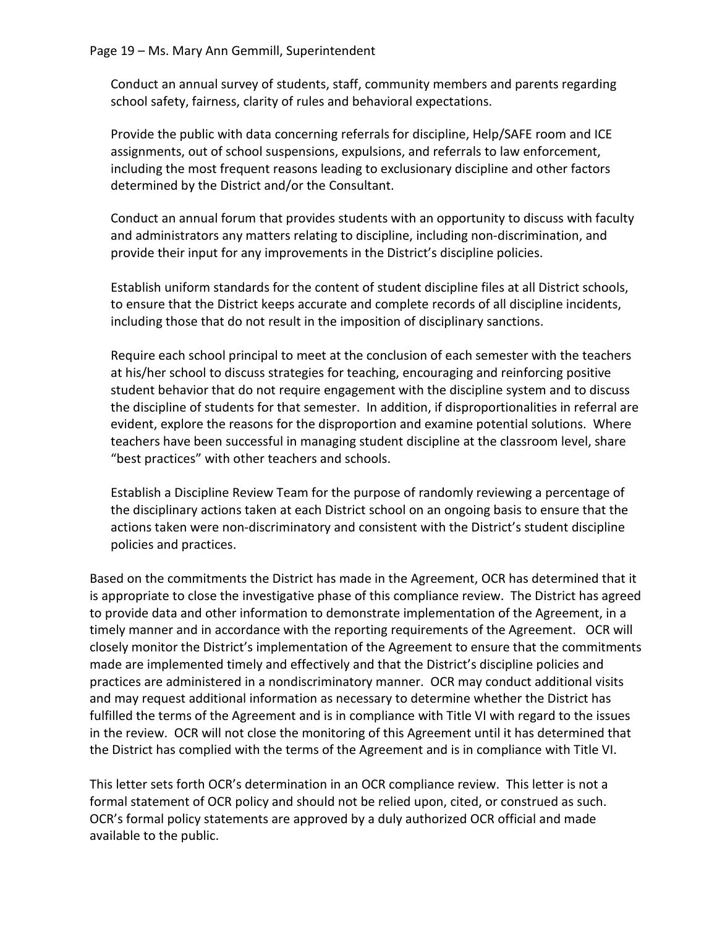Conduct an annual survey of students, staff, community members and parents regarding school safety, fairness, clarity of rules and behavioral expectations.

Provide the public with data concerning referrals for discipline, Help/SAFE room and ICE assignments, out of school suspensions, expulsions, and referrals to law enforcement, including the most frequent reasons leading to exclusionary discipline and other factors determined by the District and/or the Consultant.

Conduct an annual forum that provides students with an opportunity to discuss with faculty and administrators any matters relating to discipline, including non-discrimination, and provide their input for any improvements in the District's discipline policies.

Establish uniform standards for the content of student discipline files at all District schools, to ensure that the District keeps accurate and complete records of all discipline incidents, including those that do not result in the imposition of disciplinary sanctions.

Require each school principal to meet at the conclusion of each semester with the teachers at his/her school to discuss strategies for teaching, encouraging and reinforcing positive student behavior that do not require engagement with the discipline system and to discuss the discipline of students for that semester. In addition, if disproportionalities in referral are evident, explore the reasons for the disproportion and examine potential solutions. Where teachers have been successful in managing student discipline at the classroom level, share "best practices" with other teachers and schools.

Establish a Discipline Review Team for the purpose of randomly reviewing a percentage of the disciplinary actions taken at each District school on an ongoing basis to ensure that the actions taken were non-discriminatory and consistent with the District's student discipline policies and practices.

Based on the commitments the District has made in the Agreement, OCR has determined that it is appropriate to close the investigative phase of this compliance review. The District has agreed to provide data and other information to demonstrate implementation of the Agreement, in a timely manner and in accordance with the reporting requirements of the Agreement. OCR will closely monitor the District's implementation of the Agreement to ensure that the commitments made are implemented timely and effectively and that the District's discipline policies and practices are administered in a nondiscriminatory manner. OCR may conduct additional visits and may request additional information as necessary to determine whether the District has fulfilled the terms of the Agreement and is in compliance with Title VI with regard to the issues in the review. OCR will not close the monitoring of this Agreement until it has determined that the District has complied with the terms of the Agreement and is in compliance with Title VI.

This letter sets forth OCR's determination in an OCR compliance review. This letter is not a formal statement of OCR policy and should not be relied upon, cited, or construed as such. OCR's formal policy statements are approved by a duly authorized OCR official and made available to the public.